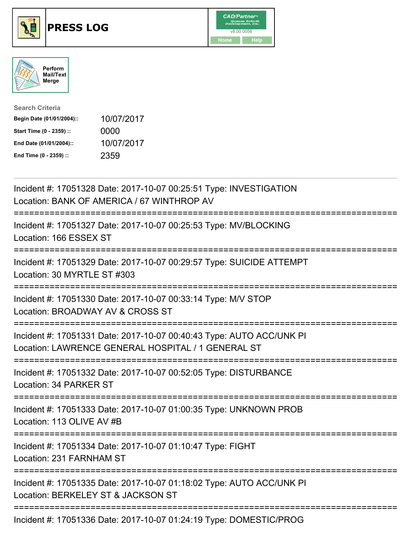





| <b>Search Criteria</b>    |            |
|---------------------------|------------|
| Begin Date (01/01/2004):: | 10/07/2017 |
| Start Time (0 - 2359) ::  | 0000       |
| End Date (01/01/2004)::   | 10/07/2017 |
| End Time (0 - 2359) ::    | 2359       |

| Incident #: 17051328 Date: 2017-10-07 00:25:51 Type: INVESTIGATION<br>Location: BANK OF AMERICA / 67 WINTHROP AV           |
|----------------------------------------------------------------------------------------------------------------------------|
| Incident #: 17051327 Date: 2017-10-07 00:25:53 Type: MV/BLOCKING<br>Location: 166 ESSEX ST                                 |
| Incident #: 17051329 Date: 2017-10-07 00:29:57 Type: SUICIDE ATTEMPT<br>Location: 30 MYRTLE ST #303                        |
| Incident #: 17051330 Date: 2017-10-07 00:33:14 Type: M/V STOP<br>Location: BROADWAY AV & CROSS ST                          |
| Incident #: 17051331 Date: 2017-10-07 00:40:43 Type: AUTO ACC/UNK PI<br>Location: LAWRENCE GENERAL HOSPITAL / 1 GENERAL ST |
| Incident #: 17051332 Date: 2017-10-07 00:52:05 Type: DISTURBANCE<br>Location: 34 PARKER ST                                 |
| Incident #: 17051333 Date: 2017-10-07 01:00:35 Type: UNKNOWN PROB<br>Location: 113 OLIVE AV #B                             |
| Incident #: 17051334 Date: 2017-10-07 01:10:47 Type: FIGHT<br>Location: 231 FARNHAM ST<br>---------------                  |
| Incident #: 17051335 Date: 2017-10-07 01:18:02 Type: AUTO ACC/UNK PI<br>Location: BERKELEY ST & JACKSON ST                 |
| Incident #: 17051336 Date: 2017-10-07 01:24:19 Type: DOMESTIC/PROG                                                         |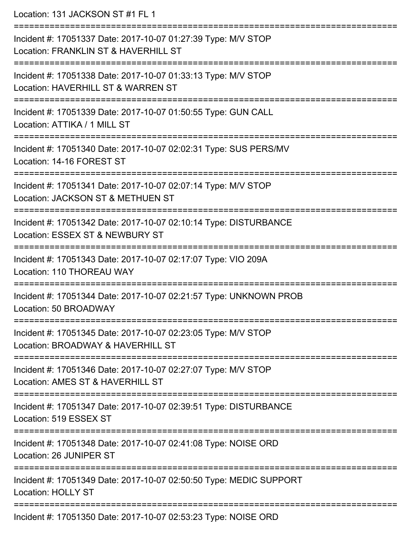Location: 131 JACKSON ST #1 FL 1 =========================================================================== Incident #: 17051337 Date: 2017-10-07 01:27:39 Type: M/V STOP Location: FRANKLIN ST & HAVERHILL ST =========================================================================== Incident #: 17051338 Date: 2017-10-07 01:33:13 Type: M/V STOP Location: HAVERHILL ST & WARREN ST =========================================================================== Incident #: 17051339 Date: 2017-10-07 01:50:55 Type: GUN CALL Location: ATTIKA / 1 MILL ST =========================================================================== Incident #: 17051340 Date: 2017-10-07 02:02:31 Type: SUS PERS/MV Location: 14-16 FOREST ST =========================================================================== Incident #: 17051341 Date: 2017-10-07 02:07:14 Type: M/V STOP Location: JACKSON ST & METHUEN ST =========================================================================== Incident #: 17051342 Date: 2017-10-07 02:10:14 Type: DISTURBANCE Location: ESSEX ST & NEWBURY ST =========================================================================== Incident #: 17051343 Date: 2017-10-07 02:17:07 Type: VIO 209A Location: 110 THOREAU WAY =========================================================================== Incident #: 17051344 Date: 2017-10-07 02:21:57 Type: UNKNOWN PROB Location: 50 BROADWAY =========================================================================== Incident #: 17051345 Date: 2017-10-07 02:23:05 Type: M/V STOP Location: BROADWAY & HAVERHILL ST =========================================================================== Incident #: 17051346 Date: 2017-10-07 02:27:07 Type: M/V STOP Location: AMES ST & HAVERHILL ST =========================================================================== Incident #: 17051347 Date: 2017-10-07 02:39:51 Type: DISTURBANCE Location: 519 ESSEX ST =========================================================================== Incident #: 17051348 Date: 2017-10-07 02:41:08 Type: NOISE ORD Location: 26 JUNIPER ST =========================================================================== Incident #: 17051349 Date: 2017-10-07 02:50:50 Type: MEDIC SUPPORT Location: HOLLY ST ===========================================================================

Incident #: 17051350 Date: 2017-10-07 02:53:23 Type: NOISE ORD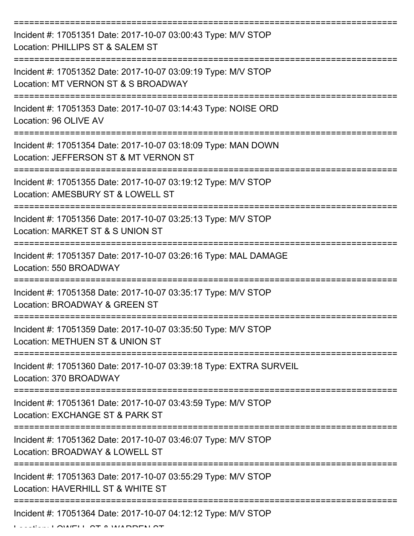| Incident #: 17051351 Date: 2017-10-07 03:00:43 Type: M/V STOP<br>Location: PHILLIPS ST & SALEM ST      |
|--------------------------------------------------------------------------------------------------------|
| Incident #: 17051352 Date: 2017-10-07 03:09:19 Type: M/V STOP<br>Location: MT VERNON ST & S BROADWAY   |
| Incident #: 17051353 Date: 2017-10-07 03:14:43 Type: NOISE ORD<br>Location: 96 OLIVE AV                |
| Incident #: 17051354 Date: 2017-10-07 03:18:09 Type: MAN DOWN<br>Location: JEFFERSON ST & MT VERNON ST |
| Incident #: 17051355 Date: 2017-10-07 03:19:12 Type: M/V STOP<br>Location: AMESBURY ST & LOWELL ST     |
| Incident #: 17051356 Date: 2017-10-07 03:25:13 Type: M/V STOP<br>Location: MARKET ST & S UNION ST      |
| Incident #: 17051357 Date: 2017-10-07 03:26:16 Type: MAL DAMAGE<br>Location: 550 BROADWAY              |
| Incident #: 17051358 Date: 2017-10-07 03:35:17 Type: M/V STOP<br>Location: BROADWAY & GREEN ST         |
| Incident #: 17051359 Date: 2017-10-07 03:35:50 Type: M/V STOP<br>Location: METHUEN ST & UNION ST       |
| Incident #: 17051360 Date: 2017-10-07 03:39:18 Type: EXTRA SURVEIL<br>Location: 370 BROADWAY           |
| Incident #: 17051361 Date: 2017-10-07 03:43:59 Type: M/V STOP<br>Location: EXCHANGE ST & PARK ST       |
| Incident #: 17051362 Date: 2017-10-07 03:46:07 Type: M/V STOP<br>Location: BROADWAY & LOWELL ST        |
| Incident #: 17051363 Date: 2017-10-07 03:55:29 Type: M/V STOP<br>Location: HAVERHILL ST & WHITE ST     |
| Incident #: 17051364 Date: 2017-10-07 04:12:12 Type: M/V STOP                                          |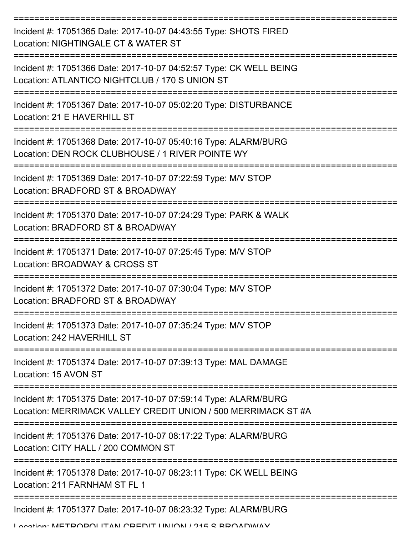| Incident #: 17051365 Date: 2017-10-07 04:43:55 Type: SHOTS FIRED<br>Location: NIGHTINGALE CT & WATER ST                          |
|----------------------------------------------------------------------------------------------------------------------------------|
| Incident #: 17051366 Date: 2017-10-07 04:52:57 Type: CK WELL BEING<br>Location: ATLANTICO NIGHTCLUB / 170 S UNION ST             |
| Incident #: 17051367 Date: 2017-10-07 05:02:20 Type: DISTURBANCE<br>Location: 21 E HAVERHILL ST                                  |
| Incident #: 17051368 Date: 2017-10-07 05:40:16 Type: ALARM/BURG<br>Location: DEN ROCK CLUBHOUSE / 1 RIVER POINTE WY              |
| Incident #: 17051369 Date: 2017-10-07 07:22:59 Type: M/V STOP<br>Location: BRADFORD ST & BROADWAY                                |
| Incident #: 17051370 Date: 2017-10-07 07:24:29 Type: PARK & WALK<br>Location: BRADFORD ST & BROADWAY                             |
| Incident #: 17051371 Date: 2017-10-07 07:25:45 Type: M/V STOP<br>Location: BROADWAY & CROSS ST                                   |
| Incident #: 17051372 Date: 2017-10-07 07:30:04 Type: M/V STOP<br>Location: BRADFORD ST & BROADWAY                                |
| Incident #: 17051373 Date: 2017-10-07 07:35:24 Type: M/V STOP<br>Location: 242 HAVERHILL ST                                      |
| Incident #: 17051374 Date: 2017-10-07 07:39:13 Type: MAL DAMAGE<br>Location: 15 AVON ST                                          |
| Incident #: 17051375 Date: 2017-10-07 07:59:14 Type: ALARM/BURG<br>Location: MERRIMACK VALLEY CREDIT UNION / 500 MERRIMACK ST #A |
| Incident #: 17051376 Date: 2017-10-07 08:17:22 Type: ALARM/BURG<br>Location: CITY HALL / 200 COMMON ST                           |
| Incident #: 17051378 Date: 2017-10-07 08:23:11 Type: CK WELL BEING<br>Location: 211 FARNHAM ST FL 1                              |
| Incident #: 17051377 Date: 2017-10-07 08:23:32 Type: ALARM/BURG                                                                  |
| I occion. METDODOI ITANI ODENIT I INIJONI / 945 C DDOANMAV                                                                       |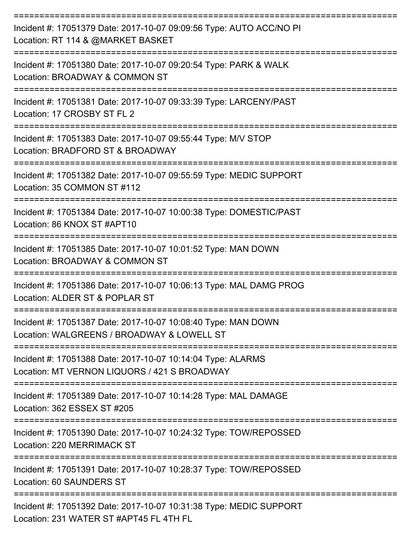| Incident #: 17051379 Date: 2017-10-07 09:09:56 Type: AUTO ACC/NO PI<br>Location: RT 114 & @MARKET BASKET<br>;================================= |
|------------------------------------------------------------------------------------------------------------------------------------------------|
| Incident #: 17051380 Date: 2017-10-07 09:20:54 Type: PARK & WALK<br>Location: BROADWAY & COMMON ST                                             |
| Incident #: 17051381 Date: 2017-10-07 09:33:39 Type: LARCENY/PAST<br>Location: 17 CROSBY ST FL 2                                               |
| Incident #: 17051383 Date: 2017-10-07 09:55:44 Type: M/V STOP<br>Location: BRADFORD ST & BROADWAY                                              |
| Incident #: 17051382 Date: 2017-10-07 09:55:59 Type: MEDIC SUPPORT<br>Location: 35 COMMON ST #112                                              |
| Incident #: 17051384 Date: 2017-10-07 10:00:38 Type: DOMESTIC/PAST<br>Location: 86 KNOX ST #APT10                                              |
| Incident #: 17051385 Date: 2017-10-07 10:01:52 Type: MAN DOWN<br>Location: BROADWAY & COMMON ST                                                |
| Incident #: 17051386 Date: 2017-10-07 10:06:13 Type: MAL DAMG PROG<br>Location: ALDER ST & POPLAR ST                                           |
| Incident #: 17051387 Date: 2017-10-07 10:08:40 Type: MAN DOWN<br>Location: WALGREENS / BROADWAY & LOWELL ST                                    |
| Incident #: 17051388 Date: 2017-10-07 10:14:04 Type: ALARMS<br>Location: MT VERNON LIQUORS / 421 S BROADWAY                                    |
| Incident #: 17051389 Date: 2017-10-07 10:14:28 Type: MAL DAMAGE<br>Location: 362 ESSEX ST #205                                                 |
| Incident #: 17051390 Date: 2017-10-07 10:24:32 Type: TOW/REPOSSED<br>Location: 220 MERRIMACK ST                                                |
| Incident #: 17051391 Date: 2017-10-07 10:28:37 Type: TOW/REPOSSED<br>Location: 60 SAUNDERS ST                                                  |
| Incident #: 17051392 Date: 2017-10-07 10:31:38 Type: MEDIC SUPPORT<br>Location: 231 WATER ST #APT45 FL 4TH FL                                  |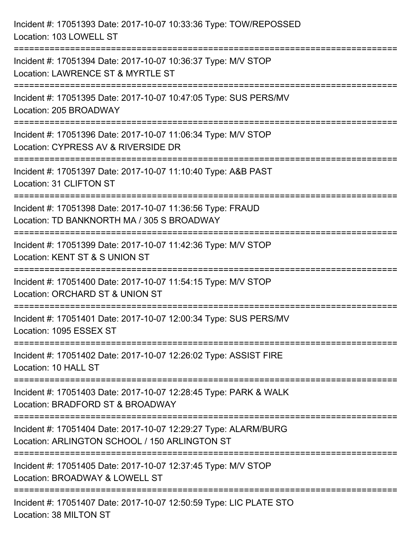| Incident #: 17051393 Date: 2017-10-07 10:33:36 Type: TOW/REPOSSED<br>Location: 103 LOWELL ST                                                                                |
|-----------------------------------------------------------------------------------------------------------------------------------------------------------------------------|
| Incident #: 17051394 Date: 2017-10-07 10:36:37 Type: M/V STOP<br>Location: LAWRENCE ST & MYRTLE ST                                                                          |
| Incident #: 17051395 Date: 2017-10-07 10:47:05 Type: SUS PERS/MV<br>Location: 205 BROADWAY<br>===================================<br>====================================== |
| Incident #: 17051396 Date: 2017-10-07 11:06:34 Type: M/V STOP<br>Location: CYPRESS AV & RIVERSIDE DR                                                                        |
| Incident #: 17051397 Date: 2017-10-07 11:10:40 Type: A&B PAST<br>Location: 31 CLIFTON ST<br>:===============================                                                |
| Incident #: 17051398 Date: 2017-10-07 11:36:56 Type: FRAUD<br>Location: TD BANKNORTH MA / 305 S BROADWAY                                                                    |
| Incident #: 17051399 Date: 2017-10-07 11:42:36 Type: M/V STOP<br>Location: KENT ST & S UNION ST                                                                             |
| Incident #: 17051400 Date: 2017-10-07 11:54:15 Type: M/V STOP<br>Location: ORCHARD ST & UNION ST                                                                            |
| Incident #: 17051401 Date: 2017-10-07 12:00:34 Type: SUS PERS/MV<br>Location: 1095 ESSEX ST                                                                                 |
| Incident #: 17051402 Date: 2017-10-07 12:26:02 Type: ASSIST FIRE<br>Location: 10 HALL ST                                                                                    |
| Incident #: 17051403 Date: 2017-10-07 12:28:45 Type: PARK & WALK<br>Location: BRADFORD ST & BROADWAY                                                                        |
| Incident #: 17051404 Date: 2017-10-07 12:29:27 Type: ALARM/BURG<br>Location: ARLINGTON SCHOOL / 150 ARLINGTON ST                                                            |
| Incident #: 17051405 Date: 2017-10-07 12:37:45 Type: M/V STOP<br>Location: BROADWAY & LOWELL ST                                                                             |
| Incident #: 17051407 Date: 2017-10-07 12:50:59 Type: LIC PLATE STO<br>Location: 38 MILTON ST                                                                                |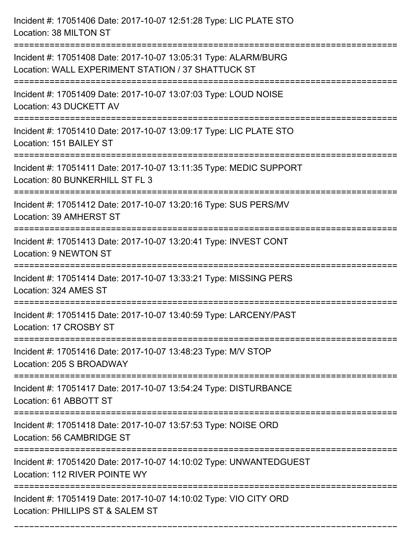Incident #: 17051406 Date: 2017-10-07 12:51:28 Type: LIC PLATE STO Location: 38 MILTON ST =========================================================================== Incident #: 17051408 Date: 2017-10-07 13:05:31 Type: ALARM/BURG Location: WALL EXPERIMENT STATION / 37 SHATTUCK ST =========================================================================== Incident #: 17051409 Date: 2017-10-07 13:07:03 Type: LOUD NOISE Location: 43 DUCKETT AV =========================================================================== Incident #: 17051410 Date: 2017-10-07 13:09:17 Type: LIC PLATE STO Location: 151 BAILEY ST =========================================================================== Incident #: 17051411 Date: 2017-10-07 13:11:35 Type: MEDIC SUPPORT Location: 80 BUNKERHILL ST FL 3 =========================================================================== Incident #: 17051412 Date: 2017-10-07 13:20:16 Type: SUS PERS/MV Location: 39 AMHERST ST =========================================================================== Incident #: 17051413 Date: 2017-10-07 13:20:41 Type: INVEST CONT Location: 9 NEWTON ST =========================================================================== Incident #: 17051414 Date: 2017-10-07 13:33:21 Type: MISSING PERS Location: 324 AMES ST =========================================================================== Incident #: 17051415 Date: 2017-10-07 13:40:59 Type: LARCENY/PAST Location: 17 CROSBY ST =========================================================================== Incident #: 17051416 Date: 2017-10-07 13:48:23 Type: M/V STOP Location: 205 S BROADWAY =========================================================================== Incident #: 17051417 Date: 2017-10-07 13:54:24 Type: DISTURBANCE Location: 61 ABBOTT ST =========================================================================== Incident #: 17051418 Date: 2017-10-07 13:57:53 Type: NOISE ORD Location: 56 CAMBRIDGE ST =========================================================================== Incident #: 17051420 Date: 2017-10-07 14:10:02 Type: UNWANTEDGUEST Location: 112 RIVER POINTE WY =========================================================================== Incident #: 17051419 Date: 2017-10-07 14:10:02 Type: VIO CITY ORD Location: PHILLIPS ST & SALEM ST

===========================================================================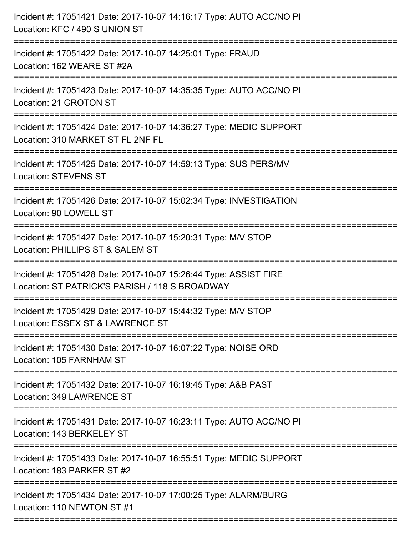| Location: 162 WEARE ST #2A<br>Incident #: 17051423 Date: 2017-10-07 14:35:35 Type: AUTO ACC/NO PI<br>Location: 21 GROTON ST<br>Incident #: 17051424 Date: 2017-10-07 14:36:27 Type: MEDIC SUPPORT<br>Location: 310 MARKET ST FL 2NF FL<br>Incident #: 17051425 Date: 2017-10-07 14:59:13 Type: SUS PERS/MV<br><b>Location: STEVENS ST</b><br>Incident #: 17051426 Date: 2017-10-07 15:02:34 Type: INVESTIGATION<br>Location: 90 LOWELL ST<br>Incident #: 17051427 Date: 2017-10-07 15:20:31 Type: M/V STOP<br>Location: PHILLIPS ST & SALEM ST<br>Incident #: 17051428 Date: 2017-10-07 15:26:44 Type: ASSIST FIRE<br>Location: ST PATRICK'S PARISH / 118 S BROADWAY<br>Incident #: 17051429 Date: 2017-10-07 15:44:32 Type: M/V STOP<br>Incident #: 17051430 Date: 2017-10-07 16:07:22 Type: NOISE ORD<br>Location: 105 FARNHAM ST<br>Incident #: 17051432 Date: 2017-10-07 16:19:45 Type: A&B PAST<br>Location: 349 LAWRENCE ST<br>Incident #: 17051431 Date: 2017-10-07 16:23:11 Type: AUTO ACC/NO PI<br>Location: 143 BERKELEY ST<br>Incident #: 17051433 Date: 2017-10-07 16:55:51 Type: MEDIC SUPPORT<br>Location: 183 PARKER ST #2<br>Incident #: 17051434 Date: 2017-10-07 17:00:25 Type: ALARM/BURG<br>Location: 110 NEWTON ST #1 | Incident #: 17051421 Date: 2017-10-07 14:16:17 Type: AUTO ACC/NO PI<br>Location: KFC / 490 S UNION ST<br>---------------------- |
|--------------------------------------------------------------------------------------------------------------------------------------------------------------------------------------------------------------------------------------------------------------------------------------------------------------------------------------------------------------------------------------------------------------------------------------------------------------------------------------------------------------------------------------------------------------------------------------------------------------------------------------------------------------------------------------------------------------------------------------------------------------------------------------------------------------------------------------------------------------------------------------------------------------------------------------------------------------------------------------------------------------------------------------------------------------------------------------------------------------------------------------------------------------------------------------------------------------------------------------------|---------------------------------------------------------------------------------------------------------------------------------|
|                                                                                                                                                                                                                                                                                                                                                                                                                                                                                                                                                                                                                                                                                                                                                                                                                                                                                                                                                                                                                                                                                                                                                                                                                                            | Incident #: 17051422 Date: 2017-10-07 14:25:01 Type: FRAUD                                                                      |
|                                                                                                                                                                                                                                                                                                                                                                                                                                                                                                                                                                                                                                                                                                                                                                                                                                                                                                                                                                                                                                                                                                                                                                                                                                            |                                                                                                                                 |
|                                                                                                                                                                                                                                                                                                                                                                                                                                                                                                                                                                                                                                                                                                                                                                                                                                                                                                                                                                                                                                                                                                                                                                                                                                            |                                                                                                                                 |
|                                                                                                                                                                                                                                                                                                                                                                                                                                                                                                                                                                                                                                                                                                                                                                                                                                                                                                                                                                                                                                                                                                                                                                                                                                            |                                                                                                                                 |
|                                                                                                                                                                                                                                                                                                                                                                                                                                                                                                                                                                                                                                                                                                                                                                                                                                                                                                                                                                                                                                                                                                                                                                                                                                            |                                                                                                                                 |
|                                                                                                                                                                                                                                                                                                                                                                                                                                                                                                                                                                                                                                                                                                                                                                                                                                                                                                                                                                                                                                                                                                                                                                                                                                            |                                                                                                                                 |
|                                                                                                                                                                                                                                                                                                                                                                                                                                                                                                                                                                                                                                                                                                                                                                                                                                                                                                                                                                                                                                                                                                                                                                                                                                            |                                                                                                                                 |
|                                                                                                                                                                                                                                                                                                                                                                                                                                                                                                                                                                                                                                                                                                                                                                                                                                                                                                                                                                                                                                                                                                                                                                                                                                            | Location: ESSEX ST & LAWRENCE ST                                                                                                |
|                                                                                                                                                                                                                                                                                                                                                                                                                                                                                                                                                                                                                                                                                                                                                                                                                                                                                                                                                                                                                                                                                                                                                                                                                                            |                                                                                                                                 |
|                                                                                                                                                                                                                                                                                                                                                                                                                                                                                                                                                                                                                                                                                                                                                                                                                                                                                                                                                                                                                                                                                                                                                                                                                                            |                                                                                                                                 |
|                                                                                                                                                                                                                                                                                                                                                                                                                                                                                                                                                                                                                                                                                                                                                                                                                                                                                                                                                                                                                                                                                                                                                                                                                                            |                                                                                                                                 |
|                                                                                                                                                                                                                                                                                                                                                                                                                                                                                                                                                                                                                                                                                                                                                                                                                                                                                                                                                                                                                                                                                                                                                                                                                                            |                                                                                                                                 |
|                                                                                                                                                                                                                                                                                                                                                                                                                                                                                                                                                                                                                                                                                                                                                                                                                                                                                                                                                                                                                                                                                                                                                                                                                                            |                                                                                                                                 |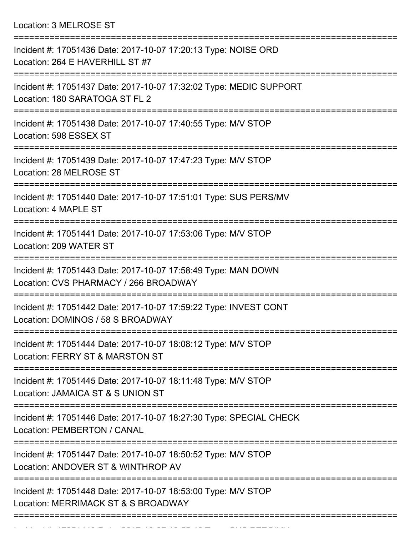Location: 3 MELROSE ST

| Incident #: 17051436 Date: 2017-10-07 17:20:13 Type: NOISE ORD<br>Location: 264 E HAVERHILL ST #7                    |
|----------------------------------------------------------------------------------------------------------------------|
| Incident #: 17051437 Date: 2017-10-07 17:32:02 Type: MEDIC SUPPORT<br>Location: 180 SARATOGA ST FL 2<br>============ |
| Incident #: 17051438 Date: 2017-10-07 17:40:55 Type: M/V STOP<br>Location: 598 ESSEX ST                              |
| Incident #: 17051439 Date: 2017-10-07 17:47:23 Type: M/V STOP<br>Location: 28 MELROSE ST                             |
| Incident #: 17051440 Date: 2017-10-07 17:51:01 Type: SUS PERS/MV<br>Location: 4 MAPLE ST                             |
| Incident #: 17051441 Date: 2017-10-07 17:53:06 Type: M/V STOP<br>Location: 209 WATER ST                              |
| Incident #: 17051443 Date: 2017-10-07 17:58:49 Type: MAN DOWN<br>Location: CVS PHARMACY / 266 BROADWAY               |
| Incident #: 17051442 Date: 2017-10-07 17:59:22 Type: INVEST CONT<br>Location: DOMINOS / 58 S BROADWAY                |
| Incident #: 17051444 Date: 2017-10-07 18:08:12 Type: M/V STOP<br>Location: FERRY ST & MARSTON ST                     |
| Incident #: 17051445 Date: 2017-10-07 18:11:48 Type: M/V STOP<br>Location: JAMAICA ST & S UNION ST                   |
| Incident #: 17051446 Date: 2017-10-07 18:27:30 Type: SPECIAL CHECK<br>Location: PEMBERTON / CANAL                    |
| Incident #: 17051447 Date: 2017-10-07 18:50:52 Type: M/V STOP<br>Location: ANDOVER ST & WINTHROP AV                  |
| Incident #: 17051448 Date: 2017-10-07 18:53:00 Type: M/V STOP<br>Location: MERRIMACK ST & S BROADWAY                 |
|                                                                                                                      |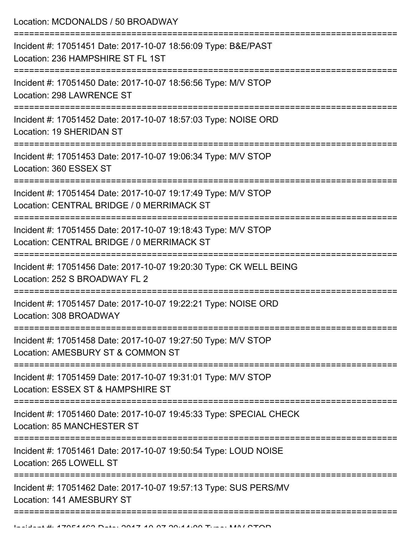Location: MCDONALDS / 50 BROADWAY

| Incident #: 17051451 Date: 2017-10-07 18:56:09 Type: B&E/PAST<br>Location: 236 HAMPSHIRE ST FL 1ST         |
|------------------------------------------------------------------------------------------------------------|
| Incident #: 17051450 Date: 2017-10-07 18:56:56 Type: M/V STOP<br>Location: 298 LAWRENCE ST                 |
| Incident #: 17051452 Date: 2017-10-07 18:57:03 Type: NOISE ORD<br>Location: 19 SHERIDAN ST                 |
| Incident #: 17051453 Date: 2017-10-07 19:06:34 Type: M/V STOP<br>Location: 360 ESSEX ST                    |
| Incident #: 17051454 Date: 2017-10-07 19:17:49 Type: M/V STOP<br>Location: CENTRAL BRIDGE / 0 MERRIMACK ST |
| Incident #: 17051455 Date: 2017-10-07 19:18:43 Type: M/V STOP<br>Location: CENTRAL BRIDGE / 0 MERRIMACK ST |
| Incident #: 17051456 Date: 2017-10-07 19:20:30 Type: CK WELL BEING<br>Location: 252 S BROADWAY FL 2        |
| Incident #: 17051457 Date: 2017-10-07 19:22:21 Type: NOISE ORD<br>Location: 308 BROADWAY                   |
| Incident #: 17051458 Date: 2017-10-07 19:27:50 Type: M/V STOP<br>Location: AMESBURY ST & COMMON ST         |
| Incident #: 17051459 Date: 2017-10-07 19:31:01 Type: M/V STOP<br>Location: ESSEX ST & HAMPSHIRE ST         |
| Incident #: 17051460 Date: 2017-10-07 19:45:33 Type: SPECIAL CHECK<br><b>Location: 85 MANCHESTER ST</b>    |
| Incident #: 17051461 Date: 2017-10-07 19:50:54 Type: LOUD NOISE<br>Location: 265 LOWELL ST                 |
| Incident #: 17051462 Date: 2017-10-07 19:57:13 Type: SUS PERS/MV<br>Location: 141 AMESBURY ST              |
|                                                                                                            |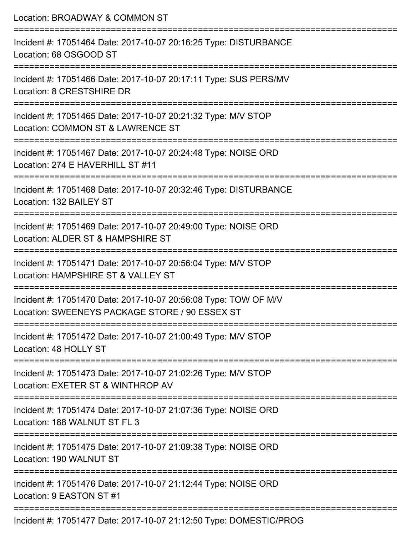| Location: BROADWAY & COMMON ST                                                                                                        |
|---------------------------------------------------------------------------------------------------------------------------------------|
| Incident #: 17051464 Date: 2017-10-07 20:16:25 Type: DISTURBANCE<br>Location: 68 OSGOOD ST                                            |
| Incident #: 17051466 Date: 2017-10-07 20:17:11 Type: SUS PERS/MV<br>Location: 8 CRESTSHIRE DR                                         |
| Incident #: 17051465 Date: 2017-10-07 20:21:32 Type: M/V STOP<br>Location: COMMON ST & LAWRENCE ST<br>=============================   |
| Incident #: 17051467 Date: 2017-10-07 20:24:48 Type: NOISE ORD<br>Location: 274 E HAVERHILL ST #11                                    |
| Incident #: 17051468 Date: 2017-10-07 20:32:46 Type: DISTURBANCE<br>Location: 132 BAILEY ST                                           |
| ;=============================<br>Incident #: 17051469 Date: 2017-10-07 20:49:00 Type: NOISE ORD<br>Location: ALDER ST & HAMPSHIRE ST |
| Incident #: 17051471 Date: 2017-10-07 20:56:04 Type: M/V STOP<br>Location: HAMPSHIRE ST & VALLEY ST                                   |
| Incident #: 17051470 Date: 2017-10-07 20:56:08 Type: TOW OF M/V<br>Location: SWEENEYS PACKAGE STORE / 90 ESSEX ST                     |
| Incident #: 17051472 Date: 2017-10-07 21:00:49 Type: M/V STOP<br>Location: 48 HOLLY ST                                                |
| Incident #: 17051473 Date: 2017-10-07 21:02:26 Type: M/V STOP<br>Location: EXETER ST & WINTHROP AV                                    |
| Incident #: 17051474 Date: 2017-10-07 21:07:36 Type: NOISE ORD<br>Location: 188 WALNUT ST FL 3                                        |
| Incident #: 17051475 Date: 2017-10-07 21:09:38 Type: NOISE ORD<br>Location: 190 WALNUT ST                                             |
| Incident #: 17051476 Date: 2017-10-07 21:12:44 Type: NOISE ORD<br>Location: 9 EASTON ST #1                                            |
| Incident #: 17051477 Date: 2017-10-07 21:12:50 Type: DOMESTIC/PROG                                                                    |

Incident #: 17051477 Date: 2017-10-07 21:12:50 Type: DOMESTIC/PROG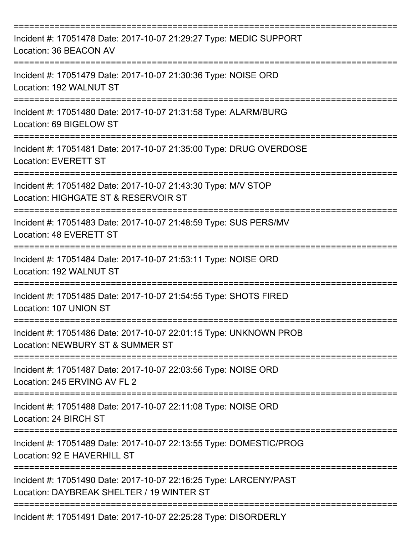| Incident #: 17051478 Date: 2017-10-07 21:29:27 Type: MEDIC SUPPORT<br>Location: 36 BEACON AV                          |
|-----------------------------------------------------------------------------------------------------------------------|
| Incident #: 17051479 Date: 2017-10-07 21:30:36 Type: NOISE ORD<br>Location: 192 WALNUT ST                             |
| Incident #: 17051480 Date: 2017-10-07 21:31:58 Type: ALARM/BURG<br>Location: 69 BIGELOW ST                            |
| Incident #: 17051481 Date: 2017-10-07 21:35:00 Type: DRUG OVERDOSE<br><b>Location: EVERETT ST</b>                     |
| Incident #: 17051482 Date: 2017-10-07 21:43:30 Type: M/V STOP<br>Location: HIGHGATE ST & RESERVOIR ST                 |
| Incident #: 17051483 Date: 2017-10-07 21:48:59 Type: SUS PERS/MV<br>Location: 48 EVERETT ST                           |
| Incident #: 17051484 Date: 2017-10-07 21:53:11 Type: NOISE ORD<br>Location: 192 WALNUT ST                             |
| Incident #: 17051485 Date: 2017-10-07 21:54:55 Type: SHOTS FIRED<br>Location: 107 UNION ST                            |
| Incident #: 17051486 Date: 2017-10-07 22:01:15 Type: UNKNOWN PROB<br>Location: NEWBURY ST & SUMMER ST                 |
| Incident #: 17051487 Date: 2017-10-07 22:03:56 Type: NOISE ORD<br>Location: 245 ERVING AV FL 2                        |
| Incident #: 17051488 Date: 2017-10-07 22:11:08 Type: NOISE ORD<br>Location: 24 BIRCH ST<br>========================== |
| Incident #: 17051489 Date: 2017-10-07 22:13:55 Type: DOMESTIC/PROG<br>Location: 92 E HAVERHILL ST                     |
| Incident #: 17051490 Date: 2017-10-07 22:16:25 Type: LARCENY/PAST<br>Location: DAYBREAK SHELTER / 19 WINTER ST        |
| Incident #: 17051491 Date: 2017-10-07 22:25:28 Type: DISORDERLY                                                       |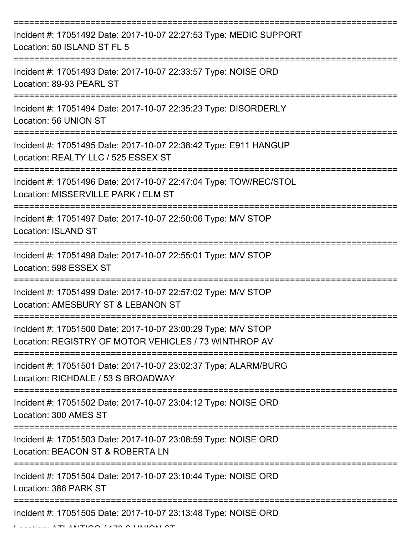| Incident #: 17051492 Date: 2017-10-07 22:27:53 Type: MEDIC SUPPORT<br>Location: 50 ISLAND ST FL 5                                                                                                                                                                                                                                                                                                                                                                                             |
|-----------------------------------------------------------------------------------------------------------------------------------------------------------------------------------------------------------------------------------------------------------------------------------------------------------------------------------------------------------------------------------------------------------------------------------------------------------------------------------------------|
| Incident #: 17051493 Date: 2017-10-07 22:33:57 Type: NOISE ORD<br>Location: 89-93 PEARL ST                                                                                                                                                                                                                                                                                                                                                                                                    |
| Incident #: 17051494 Date: 2017-10-07 22:35:23 Type: DISORDERLY<br>Location: 56 UNION ST                                                                                                                                                                                                                                                                                                                                                                                                      |
| Incident #: 17051495 Date: 2017-10-07 22:38:42 Type: E911 HANGUP<br>Location: REALTY LLC / 525 ESSEX ST                                                                                                                                                                                                                                                                                                                                                                                       |
| Incident #: 17051496 Date: 2017-10-07 22:47:04 Type: TOW/REC/STOL<br>Location: MISSERVILLE PARK / ELM ST                                                                                                                                                                                                                                                                                                                                                                                      |
| Incident #: 17051497 Date: 2017-10-07 22:50:06 Type: M/V STOP<br><b>Location: ISLAND ST</b>                                                                                                                                                                                                                                                                                                                                                                                                   |
| Incident #: 17051498 Date: 2017-10-07 22:55:01 Type: M/V STOP<br>Location: 598 ESSEX ST                                                                                                                                                                                                                                                                                                                                                                                                       |
| Incident #: 17051499 Date: 2017-10-07 22:57:02 Type: M/V STOP<br>Location: AMESBURY ST & LEBANON ST                                                                                                                                                                                                                                                                                                                                                                                           |
| Incident #: 17051500 Date: 2017-10-07 23:00:29 Type: M/V STOP<br>Location: REGISTRY OF MOTOR VEHICLES / 73 WINTHROP AV                                                                                                                                                                                                                                                                                                                                                                        |
| Incident #: 17051501 Date: 2017-10-07 23:02:37 Type: ALARM/BURG<br>Location: RICHDALE / 53 S BROADWAY                                                                                                                                                                                                                                                                                                                                                                                         |
| Incident #: 17051502 Date: 2017-10-07 23:04:12 Type: NOISE ORD<br>Location: 300 AMES ST                                                                                                                                                                                                                                                                                                                                                                                                       |
| Incident #: 17051503 Date: 2017-10-07 23:08:59 Type: NOISE ORD<br>Location: BEACON ST & ROBERTA LN                                                                                                                                                                                                                                                                                                                                                                                            |
| Incident #: 17051504 Date: 2017-10-07 23:10:44 Type: NOISE ORD<br>Location: 386 PARK ST                                                                                                                                                                                                                                                                                                                                                                                                       |
| Incident #: 17051505 Date: 2017-10-07 23:13:48 Type: NOISE ORD<br>$\begin{array}{c} \texttt{A} \texttt{B} \texttt{B} \texttt{C} \texttt{D} \texttt{D} \texttt{A} \texttt{D} \texttt{D} \texttt{D} \texttt{D} \texttt{D} \texttt{D} \texttt{D} \texttt{D} \texttt{D} \texttt{D} \texttt{D} \texttt{D} \texttt{D} \texttt{D} \texttt{D} \texttt{D} \texttt{D} \texttt{D} \texttt{D} \texttt{D} \texttt{D} \texttt{D} \texttt{D} \texttt{D} \texttt{D} \texttt{D} \texttt{D} \texttt{D} \texttt$ |